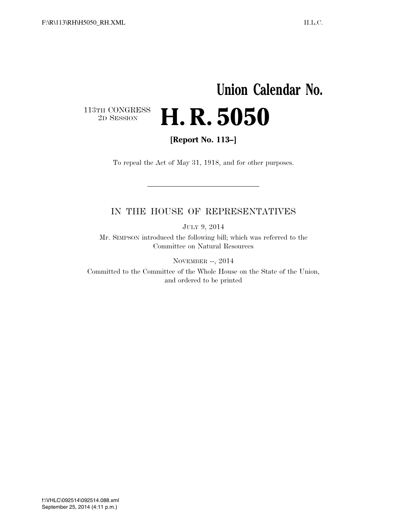## **Union Calendar No.**   $\begin{array}{c} \textbf{113TH CONGRESS} \\ \textbf{2D} \textbf{Session} \end{array}$ 2D SESSION **H. R. 5050**

**[Report No. 113–]** 

To repeal the Act of May 31, 1918, and for other purposes.

### IN THE HOUSE OF REPRESENTATIVES

JULY 9, 2014

Mr. SIMPSON introduced the following bill; which was referred to the Committee on Natural Resources

NOVEMBER --, 2014

Committed to the Committee of the Whole House on the State of the Union, and ordered to be printed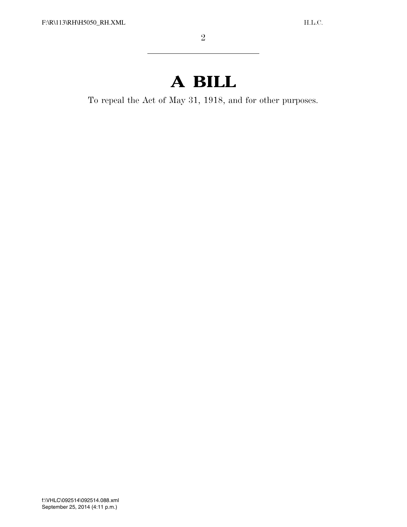# **A BILL**

To repeal the Act of May 31, 1918, and for other purposes.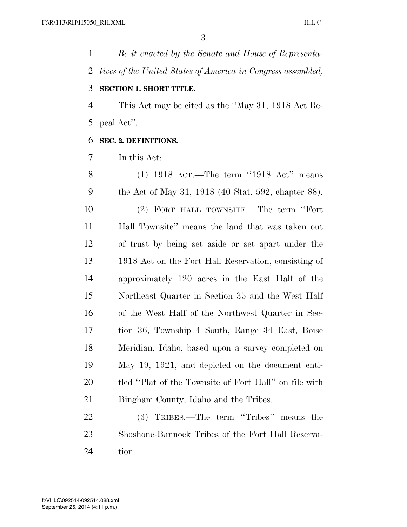*Be it enacted by the Senate and House of Representa- tives of the United States of America in Congress assembled,*  **SECTION 1. SHORT TITLE.** 

 This Act may be cited as the ''May 31, 1918 Act Re-peal Act''.

#### **SEC. 2. DEFINITIONS.**

In this Act:

 (1) 1918 ACT.—The term ''1918 Act'' means the Act of May 31, 1918 (40 Stat. 592, chapter 88). (2) FORT HALL TOWNSITE.—The term ''Fort Hall Townsite'' means the land that was taken out of trust by being set aside or set apart under the 1918 Act on the Fort Hall Reservation, consisting of approximately 120 acres in the East Half of the Northeast Quarter in Section 35 and the West Half of the West Half of the Northwest Quarter in Sec- tion 36, Township 4 South, Range 34 East, Boise Meridian, Idaho, based upon a survey completed on May 19, 1921, and depicted on the document enti- tled ''Plat of the Townsite of Fort Hall'' on file with Bingham County, Idaho and the Tribes.

 (3) TRIBES.—The term ''Tribes'' means the Shoshone-Bannock Tribes of the Fort Hall Reserva-tion.